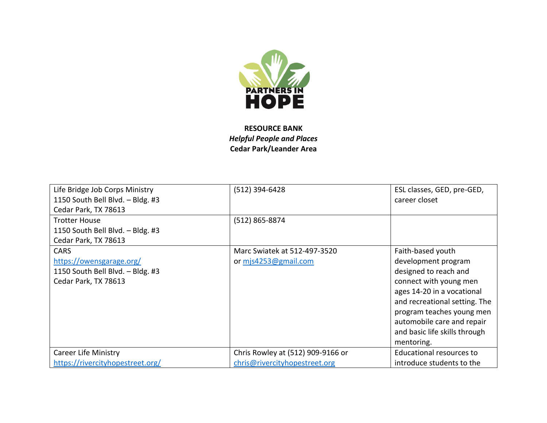

**RESOURCE BANK** *Helpful People and Places* **Cedar Park/Leander Area**

| Life Bridge Job Corps Ministry   | (512) 394-6428                    | ESL classes, GED, pre-GED,    |
|----------------------------------|-----------------------------------|-------------------------------|
| 1150 South Bell Blvd. - Bldg. #3 |                                   | career closet                 |
| Cedar Park, TX 78613             |                                   |                               |
| <b>Trotter House</b>             | (512) 865-8874                    |                               |
| 1150 South Bell Blvd. - Bldg. #3 |                                   |                               |
| Cedar Park, TX 78613             |                                   |                               |
| <b>CARS</b>                      | Marc Swiatek at 512-497-3520      | Faith-based youth             |
| https://owensgarage.org/         | or mjs4253@gmail.com              | development program           |
| 1150 South Bell Blvd. - Bldg. #3 |                                   | designed to reach and         |
| Cedar Park, TX 78613             |                                   | connect with young men        |
|                                  |                                   | ages 14-20 in a vocational    |
|                                  |                                   | and recreational setting. The |
|                                  |                                   | program teaches young men     |
|                                  |                                   | automobile care and repair    |
|                                  |                                   | and basic life skills through |
|                                  |                                   | mentoring.                    |
| <b>Career Life Ministry</b>      | Chris Rowley at (512) 909-9166 or | Educational resources to      |
| https://rivercityhopestreet.org/ | chris@rivercityhopestreet.org     | introduce students to the     |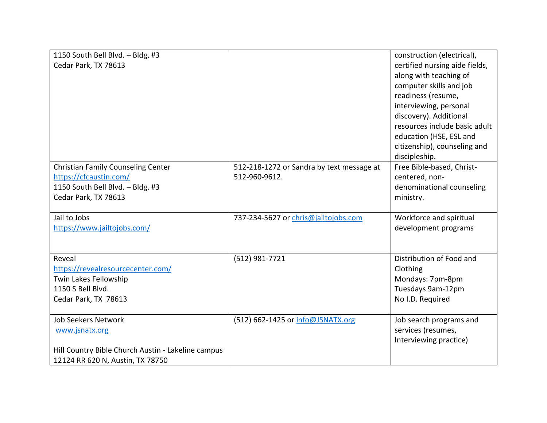| 1150 South Bell Blvd. - Bldg. #3<br>Cedar Park, TX 78613                                                                               |                                                            | construction (electrical),<br>certified nursing aide fields,<br>along with teaching of<br>computer skills and job<br>readiness (resume,<br>interviewing, personal<br>discovery). Additional<br>resources include basic adult |
|----------------------------------------------------------------------------------------------------------------------------------------|------------------------------------------------------------|------------------------------------------------------------------------------------------------------------------------------------------------------------------------------------------------------------------------------|
|                                                                                                                                        |                                                            | education (HSE, ESL and<br>citizenship), counseling and<br>discipleship.                                                                                                                                                     |
| <b>Christian Family Counseling Center</b><br>https://cfcaustin.com/<br>1150 South Bell Blvd. - Bldg. #3<br>Cedar Park, TX 78613        | 512-218-1272 or Sandra by text message at<br>512-960-9612. | Free Bible-based, Christ-<br>centered, non-<br>denominational counseling<br>ministry.                                                                                                                                        |
| Jail to Jobs<br>https://www.jailtojobs.com/                                                                                            | 737-234-5627 or chris@jailtojobs.com                       | Workforce and spiritual<br>development programs                                                                                                                                                                              |
| Reveal<br>https://revealresourcecenter.com/<br>Twin Lakes Fellowship<br>1150 S Bell Blvd.<br>Cedar Park, TX 78613                      | (512) 981-7721                                             | Distribution of Food and<br>Clothing<br>Mondays: 7pm-8pm<br>Tuesdays 9am-12pm<br>No I.D. Required                                                                                                                            |
| <b>Job Seekers Network</b><br>www.jsnatx.org<br>Hill Country Bible Church Austin - Lakeline campus<br>12124 RR 620 N, Austin, TX 78750 | (512) 662-1425 or info@JSNATX.org                          | Job search programs and<br>services (resumes,<br>Interviewing practice)                                                                                                                                                      |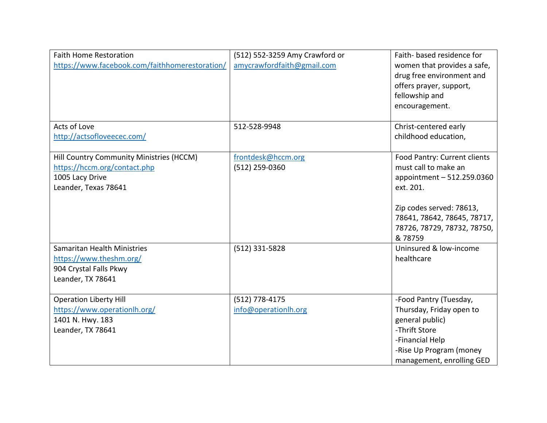| <b>Faith Home Restoration</b><br>https://www.facebook.com/faithhomerestoration/<br>Acts of Love                     | (512) 552-3259 Amy Crawford or<br>amycrawfordfaith@gmail.com<br>512-528-9948 | Faith- based residence for<br>women that provides a safe,<br>drug free environment and<br>offers prayer, support,<br>fellowship and<br>encouragement.<br>Christ-centered early                      |
|---------------------------------------------------------------------------------------------------------------------|------------------------------------------------------------------------------|-----------------------------------------------------------------------------------------------------------------------------------------------------------------------------------------------------|
| http://actsofloveecec.com/                                                                                          |                                                                              | childhood education,                                                                                                                                                                                |
| Hill Country Community Ministries (HCCM)<br>https://hccm.org/contact.php<br>1005 Lacy Drive<br>Leander, Texas 78641 | frontdesk@hccm.org<br>(512) 259-0360                                         | Food Pantry: Current clients<br>must call to make an<br>appointment - 512.259.0360<br>ext. 201.<br>Zip codes served: 78613,<br>78641, 78642, 78645, 78717,<br>78726, 78729, 78732, 78750,<br>&78759 |
| Samaritan Health Ministries<br>https://www.theshm.org/<br>904 Crystal Falls Pkwy<br>Leander, TX 78641               | (512) 331-5828                                                               | Uninsured & low-income<br>healthcare                                                                                                                                                                |
| <b>Operation Liberty Hill</b><br>https://www.operationlh.org/<br>1401 N. Hwy. 183<br>Leander, TX 78641              | (512) 778-4175<br>info@operationlh.org                                       | -Food Pantry (Tuesday,<br>Thursday, Friday open to<br>general public)<br>-Thrift Store<br>-Financial Help<br>-Rise Up Program (money<br>management, enrolling GED                                   |